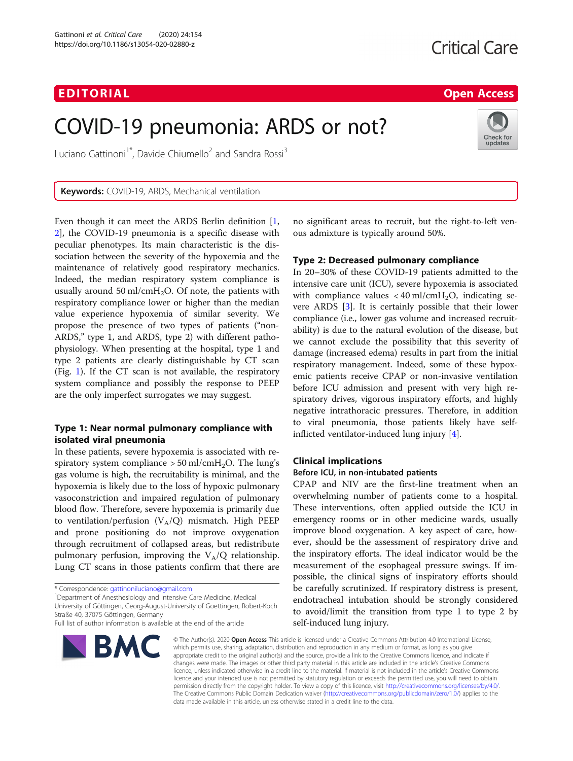# EDI TORIA L Open Access

Check for updates

# COVID-19 pneumonia: ARDS or not?

Luciano Gattinoni<sup>1\*</sup>, Davide Chiumello<sup>2</sup> and Sandra Rossi<sup>3</sup>

Keywords: COVID-19, ARDS, Mechanical ventilation

Even though it can meet the ARDS Berlin definition [\[1](#page-2-0), [2\]](#page-2-0), the COVID-19 pneumonia is a specific disease with peculiar phenotypes. Its main characteristic is the dissociation between the severity of the hypoxemia and the maintenance of relatively good respiratory mechanics. Indeed, the median respiratory system compliance is usually around 50 ml/cmH<sub>2</sub>O. Of note, the patients with respiratory compliance lower or higher than the median value experience hypoxemia of similar severity. We propose the presence of two types of patients ("non-ARDS," type 1, and ARDS, type 2) with different pathophysiology. When presenting at the hospital, type 1 and type 2 patients are clearly distinguishable by CT scan (Fig. [1](#page-1-0)). If the CT scan is not available, the respiratory system compliance and possibly the response to PEEP are the only imperfect surrogates we may suggest.

### Type 1: Near normal pulmonary compliance with isolated viral pneumonia

In these patients, severe hypoxemia is associated with respiratory system compliance  $> 50$  ml/cmH<sub>2</sub>O. The lung's gas volume is high, the recruitability is minimal, and the hypoxemia is likely due to the loss of hypoxic pulmonary vasoconstriction and impaired regulation of pulmonary blood flow. Therefore, severe hypoxemia is primarily due to ventilation/perfusion  $(V_A/Q)$  mismatch. High PEEP and prone positioning do not improve oxygenation through recruitment of collapsed areas, but redistribute pulmonary perfusion, improving the  $V_A/Q$  relationship. Lung CT scans in those patients confirm that there are

Department of Anesthesiology and Intensive Care Medicine, Medical

University of Göttingen, Georg-August-University of Goettingen, Robert-Koch Straße 40, 37075 Göttingen, Germany

Full list of author information is available at the end of the article



no significant areas to recruit, but the right-to-left venous admixture is typically around 50%.

### Type 2: Decreased pulmonary compliance

In 20–30% of these COVID-19 patients admitted to the intensive care unit (ICU), severe hypoxemia is associated with compliance values  $<$  40 ml/cmH<sub>2</sub>O, indicating severe ARDS [[3\]](#page-2-0). It is certainly possible that their lower compliance (i.e., lower gas volume and increased recruitability) is due to the natural evolution of the disease, but we cannot exclude the possibility that this severity of damage (increased edema) results in part from the initial respiratory management. Indeed, some of these hypoxemic patients receive CPAP or non-invasive ventilation before ICU admission and present with very high respiratory drives, vigorous inspiratory efforts, and highly negative intrathoracic pressures. Therefore, in addition to viral pneumonia, those patients likely have selfinflicted ventilator-induced lung injury [[4\]](#page-2-0).

#### Clinical implications

#### Before ICU, in non-intubated patients

CPAP and NIV are the first-line treatment when an overwhelming number of patients come to a hospital. These interventions, often applied outside the ICU in emergency rooms or in other medicine wards, usually improve blood oxygenation. A key aspect of care, however, should be the assessment of respiratory drive and the inspiratory efforts. The ideal indicator would be the measurement of the esophageal pressure swings. If impossible, the clinical signs of inspiratory efforts should be carefully scrutinized. If respiratory distress is present, endotracheal intubation should be strongly considered to avoid/limit the transition from type 1 to type 2 by self-induced lung injury.

© The Author(s), 2020 **Open Access** This article is licensed under a Creative Commons Attribution 4.0 International License, which permits use, sharing, adaptation, distribution and reproduction in any medium or format, as long as you give appropriate credit to the original author(s) and the source, provide a link to the Creative Commons licence, and indicate if changes were made. The images or other third party material in this article are included in the article's Creative Commons licence, unless indicated otherwise in a credit line to the material. If material is not included in the article's Creative Commons licence and your intended use is not permitted by statutory regulation or exceeds the permitted use, you will need to obtain permission directly from the copyright holder. To view a copy of this licence, visit [http://creativecommons.org/licenses/by/4.0/.](http://creativecommons.org/licenses/by/4.0/) The Creative Commons Public Domain Dedication waiver [\(http://creativecommons.org/publicdomain/zero/1.0/](http://creativecommons.org/publicdomain/zero/1.0/)) applies to the data made available in this article, unless otherwise stated in a credit line to the data.

<sup>\*</sup> Correspondence: [gattinoniluciano@gmail.com](mailto:gattinoniluciano@gmail.com) <sup>1</sup>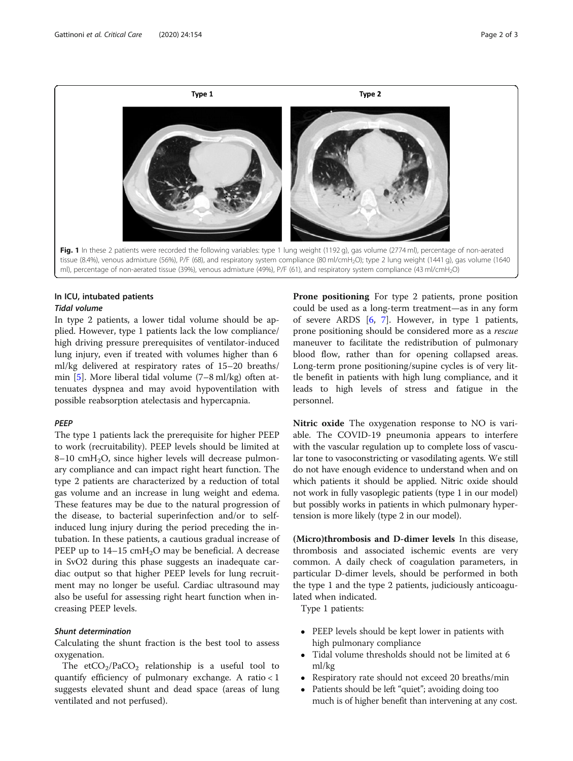<span id="page-1-0"></span>

#### In ICU, intubated patients Tidal volume

In type 2 patients, a lower tidal volume should be applied. However, type 1 patients lack the low compliance/ high driving pressure prerequisites of ventilator-induced lung injury, even if treated with volumes higher than 6 ml/kg delivered at respiratory rates of 15–20 breaths/ min [[5\]](#page-2-0). More liberal tidal volume (7–8 ml/kg) often attenuates dyspnea and may avoid hypoventilation with possible reabsorption atelectasis and hypercapnia.

#### **PEEP**

The type 1 patients lack the prerequisite for higher PEEP to work (recruitability). PEEP levels should be limited at  $8-10$  cmH<sub>2</sub>O, since higher levels will decrease pulmonary compliance and can impact right heart function. The type 2 patients are characterized by a reduction of total gas volume and an increase in lung weight and edema. These features may be due to the natural progression of the disease, to bacterial superinfection and/or to selfinduced lung injury during the period preceding the intubation. In these patients, a cautious gradual increase of PEEP up to  $14-15$  cmH<sub>2</sub>O may be beneficial. A decrease in SvO2 during this phase suggests an inadequate cardiac output so that higher PEEP levels for lung recruitment may no longer be useful. Cardiac ultrasound may also be useful for assessing right heart function when increasing PEEP levels.

#### Shunt determination

Calculating the shunt fraction is the best tool to assess oxygenation.

The etCO<sub>2</sub>/PaCO<sub>2</sub> relationship is a useful tool to quantify efficiency of pulmonary exchange. A ratio < 1 suggests elevated shunt and dead space (areas of lung ventilated and not perfused).

Prone positioning For type 2 patients, prone position could be used as a long-term treatment—as in any form of severe ARDS [[6](#page-2-0), [7](#page-2-0)]. However, in type 1 patients, prone positioning should be considered more as a *rescue* maneuver to facilitate the redistribution of pulmonary blood flow, rather than for opening collapsed areas. Long-term prone positioning/supine cycles is of very little benefit in patients with high lung compliance, and it leads to high levels of stress and fatigue in the personnel.

Nitric oxide The oxygenation response to NO is variable. The COVID-19 pneumonia appears to interfere with the vascular regulation up to complete loss of vascular tone to vasoconstricting or vasodilating agents. We still do not have enough evidence to understand when and on which patients it should be applied. Nitric oxide should not work in fully vasoplegic patients (type 1 in our model) but possibly works in patients in which pulmonary hypertension is more likely (type 2 in our model).

(Micro)thrombosis and D-dimer levels In this disease, thrombosis and associated ischemic events are very common. A daily check of coagulation parameters, in particular D-dimer levels, should be performed in both the type 1 and the type 2 patients, judiciously anticoagulated when indicated.

Type 1 patients:

- PEEP levels should be kept lower in patients with high pulmonary compliance
- Tidal volume thresholds should not be limited at 6 ml/kg
- Respiratory rate should not exceed 20 breaths/min
- Patients should be left "quiet"; avoiding doing too much is of higher benefit than intervening at any cost.